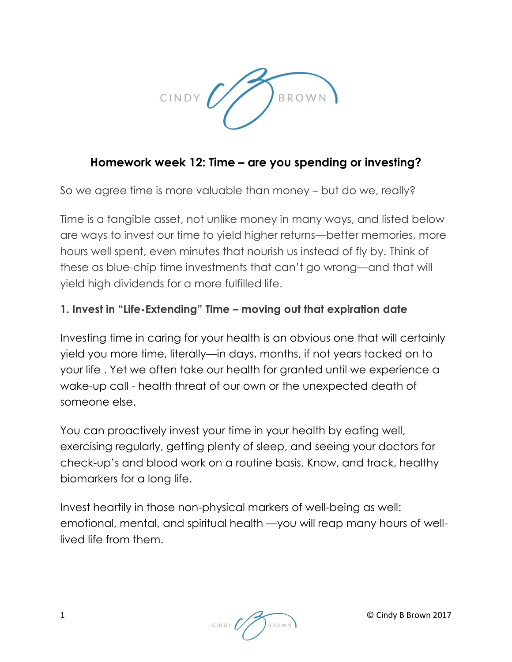

# **Homework week 12: Time – are you spending or investing?**

So we agree time is more valuable than money – but do we, really?

Time is a tangible asset, not unlike money in many ways, and listed below are ways to invest our time to yield higher returns—better memories, more hours well spent, even minutes that nourish us instead of fly by. Think of these as blue-chip time investments that can't go wrong—and that will yield high dividends for a more fulfilled life.

## **1. Invest in "Life-Extending" Time – moving out that expiration date**

Investing time in caring for your health is an obvious one that will certainly yield you more time, literally—in days, months, if not [years tacked on to](http://www.thedailymuse.com/health/16-surprising-tips-for-a-longer-life/)  [your life](http://www.thedailymuse.com/health/16-surprising-tips-for-a-longer-life/) . Yet we often take our health for granted until we experience a wake-up call - health threat of our own or the unexpected death of someone else.

You can proactively invest your time in your health by eating well, exercising regularly, getting plenty of sleep, and [seeing your doctors](http://www.thedailymuse.com/health/try-a-midwife/) for check-up's and blood work on a routine basis. Know, and track, healthy biomarkers for a long life.

Invest heartily in those non-physical markers of well-being as well: emotional, mental, and [spiritual health](http://www.thedailymuse.com/health/feed-yourself-to-vitality-nourishing-your-soul/) —you will reap many hours of welllived life from them.

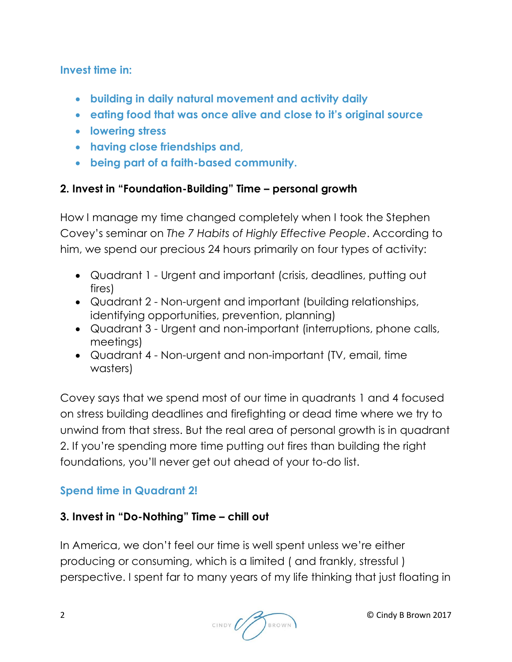**Invest time in:**

- **building in daily natural movement and activity daily**
- **eating food that was once alive and close to it's original source**
- **lowering stress**
- **having close friendships and,**
- **being part of a faith-based community.**

### **2. Invest in "Foundation-Building" Time – personal growth**

How I manage my time changed completely when I took the Stephen Covey's seminar on *The 7 Habits of Highly Effective People*. According to him, we spend our precious 24 hours primarily on four types of activity:

- Quadrant 1 Urgent and important (crisis, deadlines, putting out fires)
- Quadrant 2 Non-urgent and important (building relationships, identifying opportunities, prevention, planning)
- Quadrant 3 Urgent and non-important (interruptions, phone calls, meetings)
- Quadrant 4 Non-urgent and non-important (TV, email, time wasters)

Covey says that we spend most of our time in quadrants 1 and 4 focused on stress building deadlines and firefighting or dead time where we try to unwind from that stress. But the real area of personal growth is in quadrant 2. If you're spending more time putting out fires than building the right foundations, you'll never get out ahead of your to-do list.

## **Spend time in Quadrant 2!**

## **3. Invest in "Do-Nothing" Time – chill out**

In America, we don't feel our time is well spent unless we're either producing or consuming, which is a limited ( [and frankly, stressful](http://www.thedailymuse.com/career/too-stressed-to-de-stress/) ) perspective. I spent far to many years of my life thinking that just floating in

2 © Cindy B Brown 2017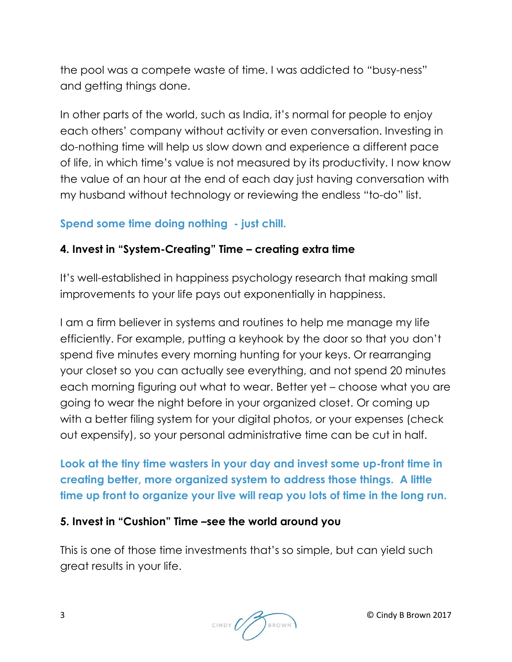the pool was a compete waste of time. I was addicted to "busy-ness" and getting things done.

In other parts of the world, such as India, it's normal for people to enjoy each others' company without activity or even conversation. Investing in do-nothing time will help us slow down and experience a different pace of life, in which time's value is not measured by its productivity. I now know the value of an hour at the end of each day just having conversation with my husband without technology or reviewing the endless "to-do" list.

### **Spend some time doing nothing - just chill.**

#### **4. Invest in "System-Creating" Time – creating extra time**

It's well-established in happiness psychology research that making small improvements to your life pays out exponentially in happiness.

I am a firm believer in systems and routines to help me manage my life efficiently. For example, putting a keyhook by the door so that you [don't](http://www.thedailymuse.com/style/morning-mayhem-how-to-finally-get-out-the-door-on-time/)  [spend five minutes every morning](http://www.thedailymuse.com/style/morning-mayhem-how-to-finally-get-out-the-door-on-time/) hunting for your keys. Or rearranging your closet so you can actually see everything, and not spend 20 minutes each morning figuring out what to wear. Better yet – choose what you are going to wear the night before in your organized closet. Or coming up with a better filing system for your digital photos, or your expenses (check out expensify), so your personal administrative time can be cut in half.

**Look at the tiny time wasters in your day and invest some up-front time in creating better, more organized system to address those things. A little time up front to organize your live will reap you lots of time in the long run.**

#### **5. Invest in "Cushion" Time –see the world around you**

This is one of those time investments that's so simple, but can yield such great results in your life.

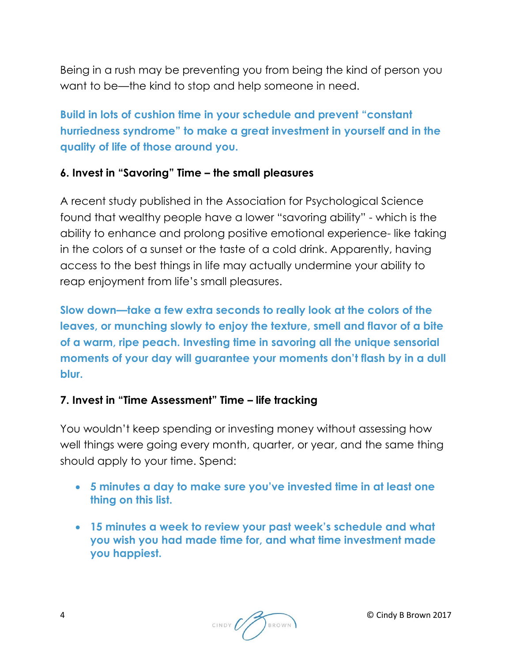Being in a rush may be preventing you from being the kind of person you want to be—the kind to stop and help someone in need.

**Build in lots of cushion time in your schedule and prevent "constant hurriedness syndrome" to make a great investment in yourself and in the quality of life of those around you.**

#### **6. Invest in "Savoring" Time – the small pleasures**

A recent study published in the Association for Psychological Science found that wealthy people have a lower "savoring ability" - which is the ability to enhance and prolong positive emotional experience- like taking in the colors of a sunset or the taste of a cold drink. Apparently, having access to the best things in life may actually undermine your ability to reap enjoyment from life's small pleasures.

**Slow down—take a few extra seconds to really look at the colors of the leaves, or munching slowly to enjoy the texture, smell and flavor of a bite of a warm, ripe peach. Investing time in savoring all the unique sensorial moments of your day will guarantee your moments don't flash by in a dull blur.**

## **7. Invest in "Time Assessment" Time – life tracking**

You wouldn't keep spending or investing money without assessing how well things were going every month, quarter, or year, and the same thing should apply to your time. Spend:

- **5 minutes a day to make sure you've invested time in at least one thing on this list.**
- **15 minutes a week to review your past week's schedule and what you wish you had made time for, and what time investment made you happiest.**